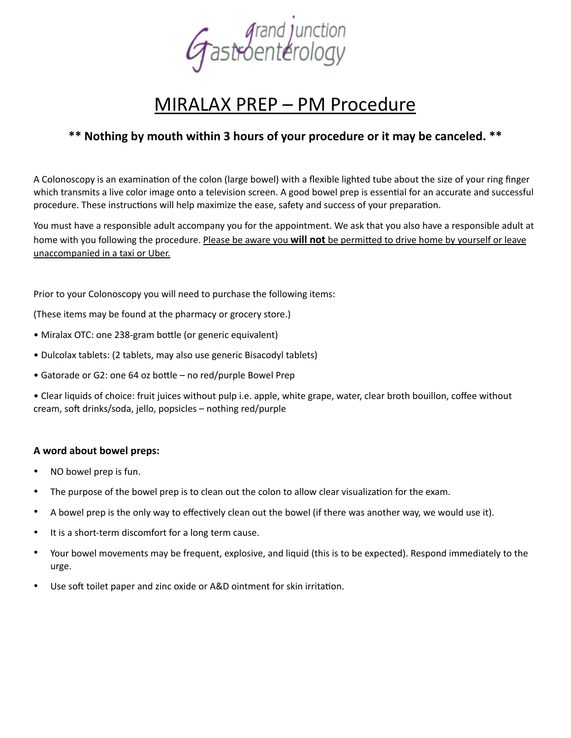

# MIRALAX PREP – PM Procedure

## **\*\* Nothing by mouth within 3 hours of your procedure or it may be canceled. \*\***

A Colonoscopy is an examination of the colon (large bowel) with a flexible lighted tube about the size of your ring finger which transmits a live color image onto a television screen. A good bowel prep is essential for an accurate and successful procedure. These instructions will help maximize the ease, safety and success of your preparation.

You must have a responsible adult accompany you for the appointment. We ask that you also have a responsible adult at home with you following the procedure. Please be aware you **will not** be permitted to drive home by yourself or leave unaccompanied in a taxi or Uber.

Prior to your Colonoscopy you will need to purchase the following items:

(These items may be found at the pharmacy or grocery store.)

- Miralax OTC: one 238-gram bottle (or generic equivalent)
- Dulcolax tablets: (2 tablets, may also use generic Bisacodyl tablets)
- Gatorade or G2: one 64 oz bottle no red/purple Bowel Prep

• Clear liquids of choice: fruit juices without pulp i.e. apple, white grape, water, clear broth bouillon, coffee without cream, soft drinks/soda, jello, popsicles – nothing red/purple

### **A word about bowel preps:**

- NO bowel prep is fun.
- The purpose of the bowel prep is to clean out the colon to allow clear visualization for the exam.
- A bowel prep is the only way to effectively clean out the bowel (if there was another way, we would use it).
- It is a short-term discomfort for a long term cause.
- Your bowel movements may be frequent, explosive, and liquid (this is to be expected). Respond immediately to the urge.
- Use soft toilet paper and zinc oxide or A&D ointment for skin irritation.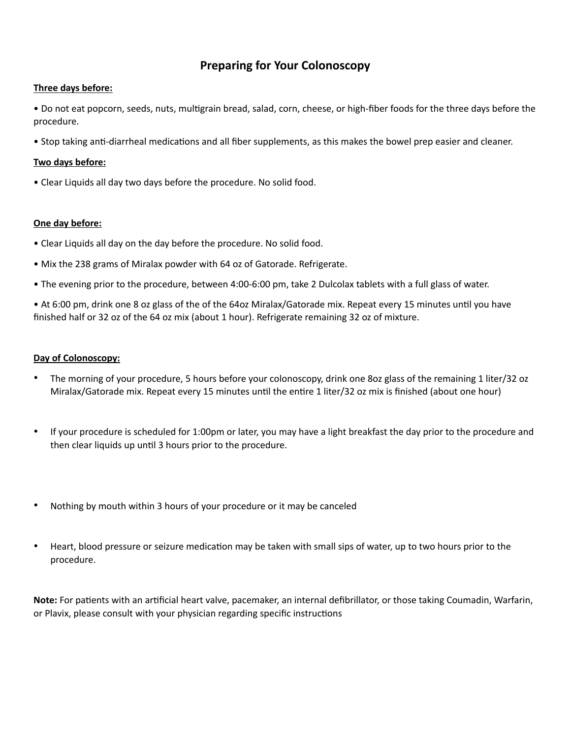## **Preparing for Your Colonoscopy**

#### **Three days before:**

• Do not eat popcorn, seeds, nuts, multigrain bread, salad, corn, cheese, or high-fiber foods for the three days before the procedure.

• Stop taking anti-diarrheal medications and all fiber supplements, as this makes the bowel prep easier and cleaner.

#### **Two days before:**

• Clear Liquids all day two days before the procedure. No solid food.

#### **One day before:**

- Clear Liquids all day on the day before the procedure. No solid food.
- Mix the 238 grams of Miralax powder with 64 oz of Gatorade. Refrigerate.
- The evening prior to the procedure, between 4:00-6:00 pm, take 2 Dulcolax tablets with a full glass of water.

• At 6:00 pm, drink one 8 oz glass of the of the 64oz Miralax/Gatorade mix. Repeat every 15 minutes until you have finished half or 32 oz of the 64 oz mix (about 1 hour). Refrigerate remaining 32 oz of mixture.

#### **Day of Colonoscopy:**

- The morning of your procedure, 5 hours before your colonoscopy, drink one 8oz glass of the remaining 1 liter/32 oz Miralax/Gatorade mix. Repeat every 15 minutes until the entire 1 liter/32 oz mix is finished (about one hour)
- If your procedure is scheduled for 1:00pm or later, you may have a light breakfast the day prior to the procedure and then clear liquids up until 3 hours prior to the procedure.
- Nothing by mouth within 3 hours of your procedure or it may be canceled
- Heart, blood pressure or seizure medication may be taken with small sips of water, up to two hours prior to the procedure.

**Note:** For patients with an artificial heart valve, pacemaker, an internal defibrillator, or those taking Coumadin, Warfarin, or Plavix, please consult with your physician regarding specific instructions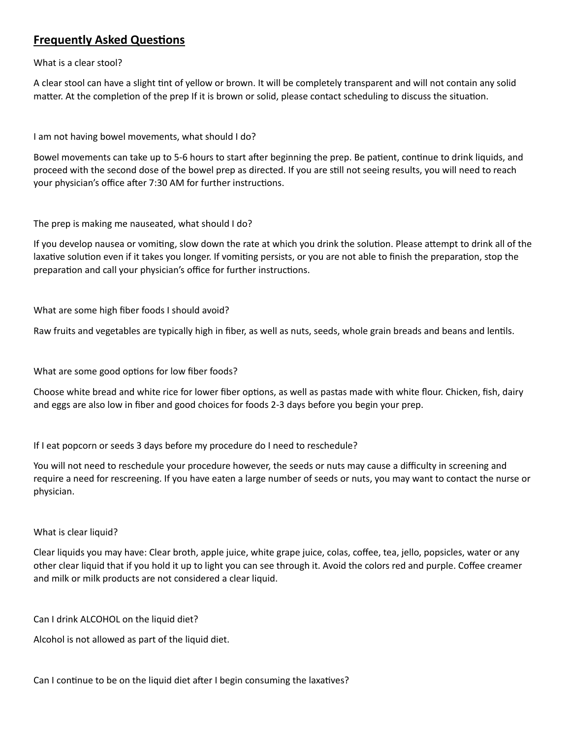## **Frequently Asked Questions**

What is a clear stool?

A clear stool can have a slight tint of yellow or brown. It will be completely transparent and will not contain any solid matter. At the completion of the prep If it is brown or solid, please contact scheduling to discuss the situation.

I am not having bowel movements, what should I do?

Bowel movements can take up to 5-6 hours to start after beginning the prep. Be patient, continue to drink liquids, and proceed with the second dose of the bowel prep as directed. If you are still not seeing results, you will need to reach your physician's office after 7:30 AM for further instructions.

The prep is making me nauseated, what should I do?

If you develop nausea or vomiting, slow down the rate at which you drink the solution. Please attempt to drink all of the laxative solution even if it takes you longer. If vomiting persists, or you are not able to finish the preparation, stop the preparation and call your physician's office for further instructions.

What are some high fiber foods I should avoid?

Raw fruits and vegetables are typically high in fiber, as well as nuts, seeds, whole grain breads and beans and lentils.

What are some good options for low fiber foods?

Choose white bread and white rice for lower fiber options, as well as pastas made with white flour. Chicken, fish, dairy and eggs are also low in fiber and good choices for foods 2-3 days before you begin your prep.

If I eat popcorn or seeds 3 days before my procedure do I need to reschedule?

You will not need to reschedule your procedure however, the seeds or nuts may cause a difficulty in screening and require a need for rescreening. If you have eaten a large number of seeds or nuts, you may want to contact the nurse or physician.

#### What is clear liquid?

Clear liquids you may have: Clear broth, apple juice, white grape juice, colas, coffee, tea, jello, popsicles, water or any other clear liquid that if you hold it up to light you can see through it. Avoid the colors red and purple. Coffee creamer and milk or milk products are not considered a clear liquid.

Can I drink ALCOHOL on the liquid diet?

Alcohol is not allowed as part of the liquid diet.

Can I continue to be on the liquid diet after I begin consuming the laxatives?